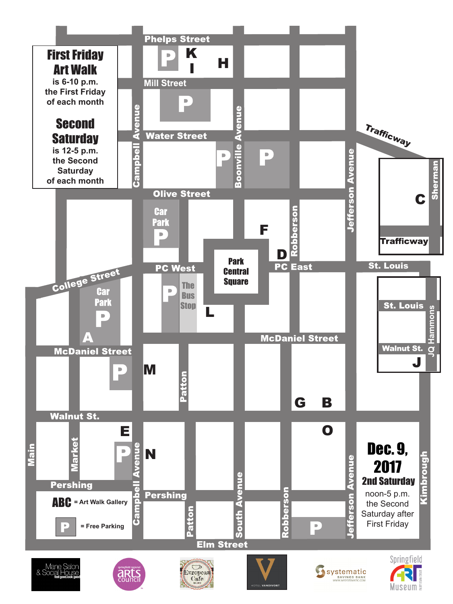